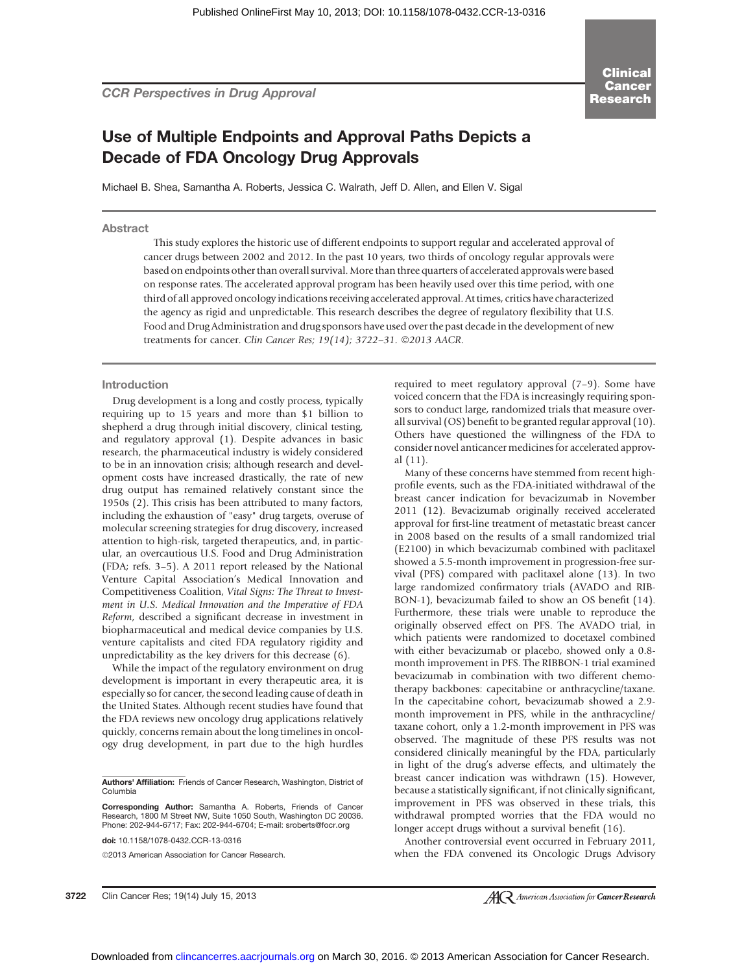## Use of Multiple Endpoints and Approval Paths Depicts a Decade of FDA Oncology Drug Approvals

Michael B. Shea, Samantha A. Roberts, Jessica C. Walrath, Jeff D. Allen, and Ellen V. Sigal

## Abstract

This study explores the historic use of different endpoints to support regular and accelerated approval of cancer drugs between 2002 and 2012. In the past 10 years, two thirds of oncology regular approvals were based on endpoints other than overall survival. More than three quarters of accelerated approvals were based on response rates. The accelerated approval program has been heavily used over this time period, with one third of all approved oncology indications receiving accelerated approval. At times, critics have characterized the agency as rigid and unpredictable. This research describes the degree of regulatory flexibility that U.S. Food and Drug Administration and drug sponsors have used over the past decade in the development of new treatments for cancer. Clin Cancer Res; 19(14); 3722-31. ©2013 AACR.

## Introduction

Drug development is a long and costly process, typically requiring up to 15 years and more than \$1 billion to shepherd a drug through initial discovery, clinical testing, and regulatory approval (1). Despite advances in basic research, the pharmaceutical industry is widely considered to be in an innovation crisis; although research and development costs have increased drastically, the rate of new drug output has remained relatively constant since the 1950s (2). This crisis has been attributed to many factors, including the exhaustion of "easy" drug targets, overuse of molecular screening strategies for drug discovery, increased attention to high-risk, targeted therapeutics, and, in particular, an overcautious U.S. Food and Drug Administration (FDA; refs. 3–5). A 2011 report released by the National Venture Capital Association's Medical Innovation and Competitiveness Coalition, Vital Signs: The Threat to Investment in U.S. Medical Innovation and the Imperative of FDA Reform, described a significant decrease in investment in biopharmaceutical and medical device companies by U.S. venture capitalists and cited FDA regulatory rigidity and unpredictability as the key drivers for this decrease (6).

While the impact of the regulatory environment on drug development is important in every therapeutic area, it is especially so for cancer, the second leading cause of death in the United States. Although recent studies have found that the FDA reviews new oncology drug applications relatively quickly, concerns remain about the long timelines in oncology drug development, in part due to the high hurdles

doi: 10.1158/1078-0432.CCR-13-0316

2013 American Association for Cancer Research.

required to meet regulatory approval (7–9). Some have voiced concern that the FDA is increasingly requiring sponsors to conduct large, randomized trials that measure overall survival (OS) benefit to be granted regular approval (10). Others have questioned the willingness of the FDA to consider novel anticancer medicines for accelerated approval (11).

Many of these concerns have stemmed from recent highprofile events, such as the FDA-initiated withdrawal of the breast cancer indication for bevacizumab in November 2011 (12). Bevacizumab originally received accelerated approval for first-line treatment of metastatic breast cancer in 2008 based on the results of a small randomized trial (E2100) in which bevacizumab combined with paclitaxel showed a 5.5-month improvement in progression-free survival (PFS) compared with paclitaxel alone (13). In two large randomized confirmatory trials (AVADO and RIB-BON-1), bevacizumab failed to show an OS benefit (14). Furthermore, these trials were unable to reproduce the originally observed effect on PFS. The AVADO trial, in which patients were randomized to docetaxel combined with either bevacizumab or placebo, showed only a 0.8 month improvement in PFS. The RIBBON-1 trial examined bevacizumab in combination with two different chemotherapy backbones: capecitabine or anthracycline/taxane. In the capecitabine cohort, bevacizumab showed a 2.9 month improvement in PFS, while in the anthracycline/ taxane cohort, only a 1.2-month improvement in PFS was observed. The magnitude of these PFS results was not considered clinically meaningful by the FDA, particularly in light of the drug's adverse effects, and ultimately the breast cancer indication was withdrawn (15). However, because a statistically significant, if not clinically significant, improvement in PFS was observed in these trials, this withdrawal prompted worries that the FDA would no longer accept drugs without a survival benefit (16).

Another controversial event occurred in February 2011, when the FDA convened its Oncologic Drugs Advisory

3722 Clin Cancer Res; 19(14) July 15, 2013

Authors' Affiliation: Friends of Cancer Research, Washington, District of Columbia

Corresponding Author: Samantha A. Roberts, Friends of Cancer Research, 1800 M Street NW, Suite 1050 South, Washington DC 20036. Phone: 202-944-6717; Fax: 202-944-6704; E-mail: sroberts@focr.org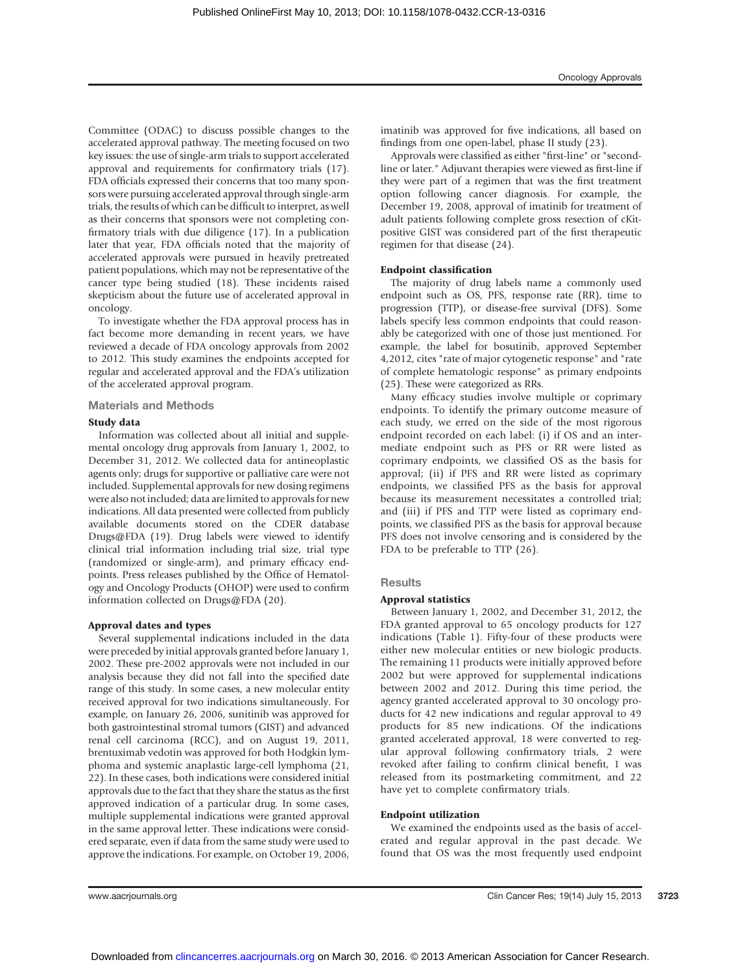Committee (ODAC) to discuss possible changes to the accelerated approval pathway. The meeting focused on two key issues: the use of single-arm trials to support accelerated approval and requirements for confirmatory trials (17). FDA officials expressed their concerns that too many sponsors were pursuing accelerated approval through single-arm trials, the results of which can be difficult to interpret, as well as their concerns that sponsors were not completing confirmatory trials with due diligence (17). In a publication later that year, FDA officials noted that the majority of accelerated approvals were pursued in heavily pretreated patient populations, which may not be representative of the cancer type being studied (18). These incidents raised skepticism about the future use of accelerated approval in oncology.

To investigate whether the FDA approval process has in fact become more demanding in recent years, we have reviewed a decade of FDA oncology approvals from 2002 to 2012. This study examines the endpoints accepted for regular and accelerated approval and the FDA's utilization of the accelerated approval program.

#### Materials and Methods

## Study data

Information was collected about all initial and supplemental oncology drug approvals from January 1, 2002, to December 31, 2012. We collected data for antineoplastic agents only; drugs for supportive or palliative care were not included. Supplemental approvals for new dosing regimens were also not included; data are limited to approvals for new indications. All data presented were collected from publicly available documents stored on the CDER database Drugs@FDA (19). Drug labels were viewed to identify clinical trial information including trial size, trial type (randomized or single-arm), and primary efficacy endpoints. Press releases published by the Office of Hematology and Oncology Products (OHOP) were used to confirm information collected on Drugs@FDA (20).

## Approval dates and types

Several supplemental indications included in the data were preceded by initial approvals granted before January 1, 2002. These pre-2002 approvals were not included in our analysis because they did not fall into the specified date range of this study. In some cases, a new molecular entity received approval for two indications simultaneously. For example, on January 26, 2006, sunitinib was approved for both gastrointestinal stromal tumors (GIST) and advanced renal cell carcinoma (RCC), and on August 19, 2011, brentuximab vedotin was approved for both Hodgkin lymphoma and systemic anaplastic large-cell lymphoma (21, 22). In these cases, both indications were considered initial approvals due to the fact that they share the status as the first approved indication of a particular drug. In some cases, multiple supplemental indications were granted approval in the same approval letter. These indications were considered separate, even if data from the same study were used to approve the indications. For example, on October 19, 2006,

imatinib was approved for five indications, all based on findings from one open-label, phase II study (23).

Approvals were classified as either "first-line" or "secondline or later." Adjuvant therapies were viewed as first-line if they were part of a regimen that was the first treatment option following cancer diagnosis. For example, the December 19, 2008, approval of imatinib for treatment of adult patients following complete gross resection of cKitpositive GIST was considered part of the first therapeutic regimen for that disease (24).

## Endpoint classification

The majority of drug labels name a commonly used endpoint such as OS, PFS, response rate (RR), time to progression (TTP), or disease-free survival (DFS). Some labels specify less common endpoints that could reasonably be categorized with one of those just mentioned. For example, the label for bosutinib, approved September 4,2012, cites "rate of major cytogenetic response" and "rate of complete hematologic response" as primary endpoints (25). These were categorized as RRs.

Many efficacy studies involve multiple or coprimary endpoints. To identify the primary outcome measure of each study, we erred on the side of the most rigorous endpoint recorded on each label: (i) if OS and an intermediate endpoint such as PFS or RR were listed as coprimary endpoints, we classified OS as the basis for approval; (ii) if PFS and RR were listed as coprimary endpoints, we classified PFS as the basis for approval because its measurement necessitates a controlled trial; and (iii) if PFS and TTP were listed as coprimary endpoints, we classified PFS as the basis for approval because PFS does not involve censoring and is considered by the FDA to be preferable to TTP (26).

## **Results**

## Approval statistics

Between January 1, 2002, and December 31, 2012, the FDA granted approval to 65 oncology products for 127 indications (Table 1). Fifty-four of these products were either new molecular entities or new biologic products. The remaining 11 products were initially approved before 2002 but were approved for supplemental indications between 2002 and 2012. During this time period, the agency granted accelerated approval to 30 oncology products for 42 new indications and regular approval to 49 products for 85 new indications. Of the indications granted accelerated approval, 18 were converted to regular approval following confirmatory trials, 2 were revoked after failing to confirm clinical benefit, 1 was released from its postmarketing commitment, and 22 have yet to complete confirmatory trials.

## Endpoint utilization

We examined the endpoints used as the basis of accelerated and regular approval in the past decade. We found that OS was the most frequently used endpoint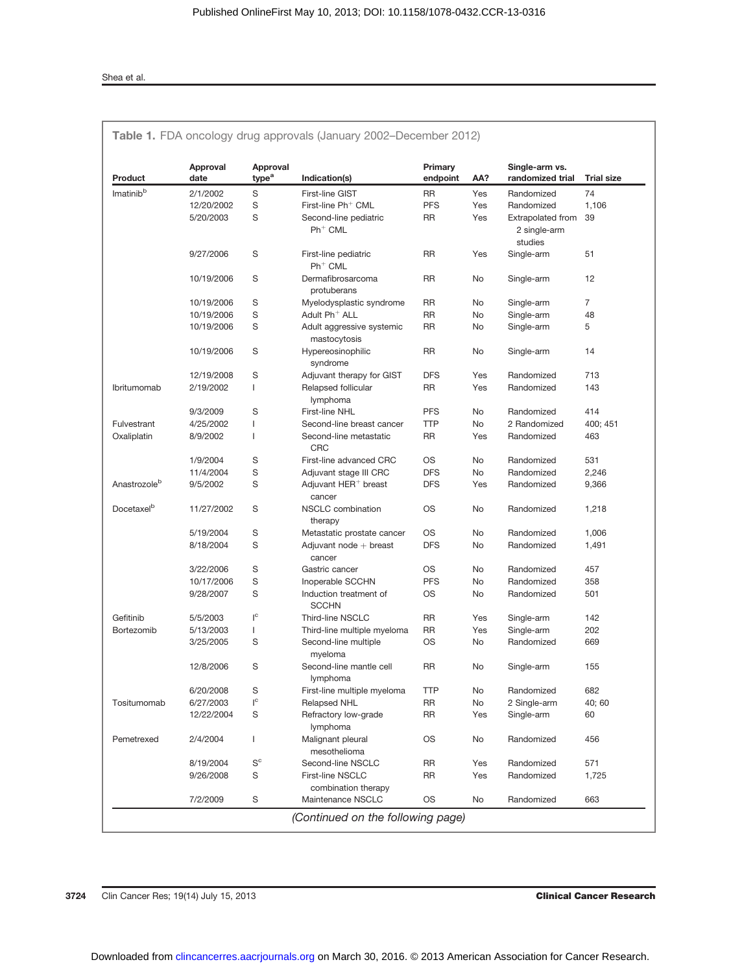## Shea et al.

| Product                  | Approval<br>date | Approval<br>type <sup>a</sup> | Indication(s)                                  | Primary<br>endpoint | AA? | Single-arm vs.<br>randomized trial           | <b>Trial size</b> |
|--------------------------|------------------|-------------------------------|------------------------------------------------|---------------------|-----|----------------------------------------------|-------------------|
| Imatinib <sup>b</sup>    | 2/1/2002         | $\mathbb S$                   | <b>First-line GIST</b>                         | <b>RR</b>           | Yes | Randomized                                   | 74                |
|                          | 12/20/2002       | S                             | First-line Ph <sup>+</sup> CML                 | <b>PFS</b>          | Yes | Randomized                                   | 1,106             |
|                          | 5/20/2003        | S                             | Second-line pediatric<br>$Ph^+$ CML            | <b>RR</b>           | Yes | Extrapolated from<br>2 single-arm<br>studies | 39                |
|                          | 9/27/2006        | S                             | First-line pediatric<br>$Ph^+$ CML             | <b>RR</b>           | Yes | Single-arm                                   | 51                |
|                          | 10/19/2006       | S                             | Dermafibrosarcoma<br>protuberans               | <b>RR</b>           | No  | Single-arm                                   | 12                |
|                          | 10/19/2006       | S                             | Myelodysplastic syndrome                       | <b>RR</b>           | No  | Single-arm                                   | $\overline{7}$    |
|                          | 10/19/2006       | S                             | Adult $Ph^+$ ALL                               | <b>RR</b>           | No  | Single-arm                                   | 48                |
|                          | 10/19/2006       | S                             | Adult aggressive systemic<br>mastocytosis      | <b>RR</b>           | No  | Single-arm                                   | 5                 |
|                          | 10/19/2006       | S                             | Hypereosinophilic<br>syndrome                  | <b>RR</b>           | No  | Single-arm                                   | 14                |
|                          | 12/19/2008       | S                             | Adjuvant therapy for GIST                      | <b>DFS</b>          | Yes | Randomized                                   | 713               |
| Ibritumomab              | 2/19/2002        | T                             | Relapsed follicular<br>lymphoma                | <b>RR</b>           | Yes | Randomized                                   | 143               |
|                          | 9/3/2009         | S                             | <b>First-line NHL</b>                          | <b>PFS</b>          | No  | Randomized                                   | 414               |
| Fulvestrant              | 4/25/2002        | $\mathbf{I}$                  | Second-line breast cancer                      | <b>TTP</b>          | No  | 2 Randomized                                 | 400; 451          |
| Oxaliplatin              | 8/9/2002         | T                             | Second-line metastatic<br><b>CRC</b>           | <b>RR</b>           | Yes | Randomized                                   | 463               |
|                          | 1/9/2004         | S                             | First-line advanced CRC                        | OS                  | No  | Randomized                                   | 531               |
|                          | 11/4/2004        | S                             | Adjuvant stage III CRC                         | <b>DFS</b>          | No  | Randomized                                   | 2,246             |
| Anastrozole <sup>b</sup> | 9/5/2002         | S                             | Adjuvant HER <sup>+</sup> breast<br>cancer     | <b>DFS</b>          | Yes | Randomized                                   | 9,366             |
| Docetaxel <sup>b</sup>   | 11/27/2002       | S                             | NSCLC combination<br>therapy                   | <b>OS</b>           | No  | Randomized                                   | 1,218             |
|                          | 5/19/2004        | $\mathbf S$                   | Metastatic prostate cancer                     | OS                  | No  | Randomized                                   | 1,006             |
|                          | 8/18/2004        | S                             | Adjuvant node $+$ breast<br>cancer             | <b>DFS</b>          | No  | Randomized                                   | 1,491             |
|                          | 3/22/2006        | S                             | Gastric cancer                                 | OS                  | No  | Randomized                                   | 457               |
|                          | 10/17/2006       | S                             | Inoperable SCCHN                               | <b>PFS</b>          | No  | Randomized                                   | 358               |
|                          | 9/28/2007        | S                             | Induction treatment of<br><b>SCCHN</b>         | OS                  | No  | Randomized                                   | 501               |
| Gefitinib                | 5/5/2003         | $\mathsf{I}^\mathsf{c}$       | <b>Third-line NSCLC</b>                        | <b>RR</b>           | Yes | Single-arm                                   | 142               |
| Bortezomib               | 5/13/2003        | I                             | Third-line multiple myeloma                    | RR                  | Yes | Single-arm                                   | 202               |
|                          | 3/25/2005        | S                             | Second-line multiple<br>myeloma                | OS                  | No  | Randomized                                   | 669               |
|                          | 12/8/2006        | S                             | Second-line mantle cell<br>lymphoma            | <b>RR</b>           | No  | Single-arm                                   | 155               |
|                          | 6/20/2008        | S                             | First-line multiple myeloma                    | <b>TTP</b>          | No  | Randomized                                   | 682               |
| Tositumomab              | 6/27/2003        | $\mathsf{I}^\mathsf{c}$       | Relapsed NHL                                   | <b>RR</b>           | No  | 2 Single-arm                                 | 40; 60            |
|                          | 12/22/2004       | S                             | Refractory low-grade<br>lymphoma               | <b>RR</b>           | Yes | Single-arm                                   | 60                |
| Pemetrexed               | 2/4/2004         | T                             | Malignant pleural<br>mesothelioma              | <b>OS</b>           | No  | Randomized                                   | 456               |
|                          | 8/19/2004        | $\mathbf{S}^\mathrm{c}$       | Second-line NSCLC                              | <b>RR</b>           | Yes | Randomized                                   | 571               |
|                          | 9/26/2008        | S                             | <b>First-line NSCLC</b><br>combination therapy | <b>RR</b>           | Yes | Randomized                                   | 1,725             |
|                          | 7/2/2009         | S                             | Maintenance NSCLC                              | ОS                  | No  | Randomized                                   | 663               |

3724 Clin Cancer Res; 19(14) July 15, 2013 **Clinical Cancer Research**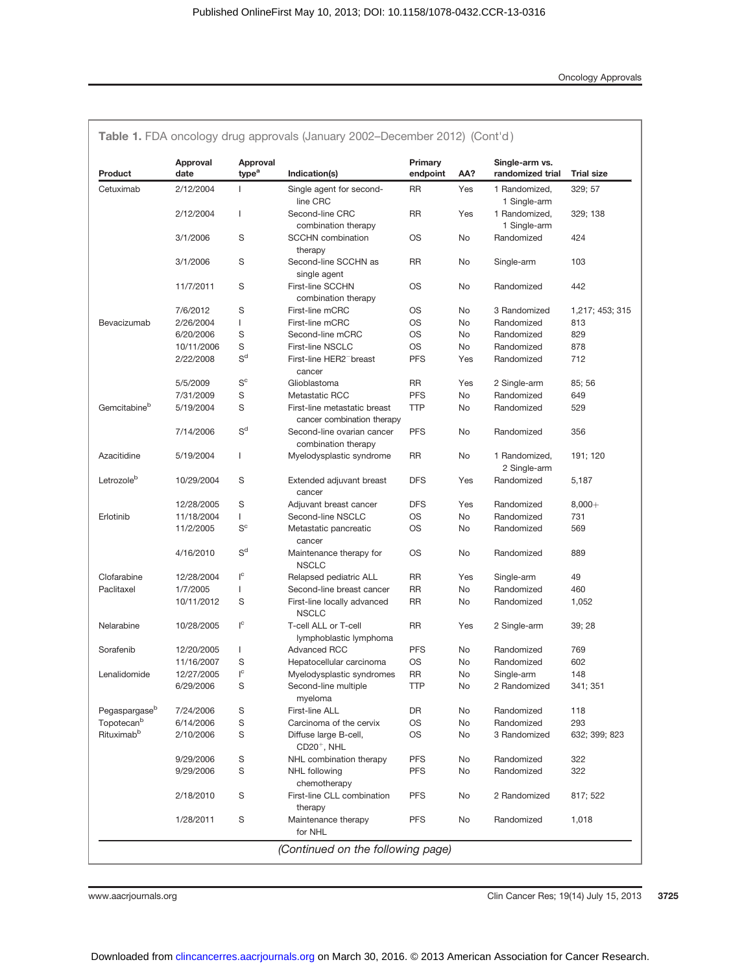| Product                   | Approval<br>date | Approval<br>type <sup>a</sup> | Indication(s)                                              | Primary<br>endpoint | AA? | Single-arm vs.<br>randomized trial | <b>Trial size</b> |
|---------------------------|------------------|-------------------------------|------------------------------------------------------------|---------------------|-----|------------------------------------|-------------------|
| Cetuximab                 | 2/12/2004        | $\mathbf{I}$                  | Single agent for second-<br>line CRC                       | <b>RR</b>           | Yes | 1 Randomized.<br>1 Single-arm      | 329; 57           |
|                           | 2/12/2004        | $\mathbf{I}$                  | Second-line CRC<br>combination therapy                     | <b>RR</b>           | Yes | 1 Randomized,<br>1 Single-arm      | 329; 138          |
|                           | 3/1/2006         | S                             | <b>SCCHN</b> combination<br>therapy                        | <b>OS</b>           | No  | Randomized                         | 424               |
|                           | 3/1/2006         | S                             | Second-line SCCHN as<br>single agent                       | <b>RR</b>           | No  | Single-arm                         | 103               |
|                           | 11/7/2011        | S                             | <b>First-line SCCHN</b><br>combination therapy             | OS                  | No  | Randomized                         | 442               |
|                           | 7/6/2012         | S                             | First-line mCRC                                            | OS                  | No  | 3 Randomized                       | 1,217; 453; 315   |
| Bevacizumab               | 2/26/2004        | $\mathbf{I}$                  | First-line mCRC                                            | <b>OS</b>           | No  | Randomized                         | 813               |
|                           | 6/20/2006        | S                             | Second-line mCRC                                           | <b>OS</b>           | No  | Randomized                         | 829               |
|                           | 10/11/2006       | S                             | <b>First-line NSCLC</b>                                    | <b>OS</b>           | No  | Randomized                         | 878               |
|                           | 2/22/2008        | S <sup>d</sup>                | First-line HER2 <sup>-</sup> breast<br>cancer              | <b>PFS</b>          | Yes | Randomized                         | 712               |
|                           | 5/5/2009         | $\mathsf{S}^\mathsf{c}$       | Glioblastoma                                               | <b>RR</b>           | Yes | 2 Single-arm                       | 85; 56            |
|                           | 7/31/2009        | S                             | Metastatic RCC                                             | <b>PFS</b>          | No  | Randomized                         | 649               |
| Gemcitabine <sup>b</sup>  | 5/19/2004        | S                             | First-line metastatic breast<br>cancer combination therapy | <b>TTP</b>          | No  | Randomized                         | 529               |
|                           | 7/14/2006        | S <sup>d</sup>                | Second-line ovarian cancer<br>combination therapy          | <b>PFS</b>          | No  | Randomized                         | 356               |
| Azacitidine               | 5/19/2004        | $\mathbf{I}$                  | Myelodysplastic syndrome                                   | <b>RR</b>           | No  | 1 Randomized,<br>2 Single-arm      | 191; 120          |
| Letrozole <sup>b</sup>    | 10/29/2004       | S                             | Extended adjuvant breast<br>cancer                         | <b>DFS</b>          | Yes | Randomized                         | 5,187             |
|                           | 12/28/2005       | S                             | Adjuvant breast cancer                                     | <b>DFS</b>          | Yes | Randomized                         | $8,000+$          |
| Erlotinib                 | 11/18/2004       | L                             | Second-line NSCLC                                          | OS                  | No  | Randomized                         | 731               |
|                           | 11/2/2005        | $S^{c}$                       | Metastatic pancreatic<br>cancer                            | <b>OS</b>           | No  | Randomized                         | 569               |
|                           | 4/16/2010        | S <sup>d</sup>                | Maintenance therapy for<br><b>NSCLC</b>                    | <b>OS</b>           | No  | Randomized                         | 889               |
| Clofarabine               | 12/28/2004       | $\mathsf{I}^{\mathsf{c}}$     | Relapsed pediatric ALL                                     | <b>RR</b>           | Yes | Single-arm                         | 49                |
| Paclitaxel                | 1/7/2005         | $\mathbf{I}$                  | Second-line breast cancer                                  | <b>RR</b>           | No  | Randomized                         | 460               |
|                           | 10/11/2012       | S                             | First-line locally advanced<br><b>NSCLC</b>                | <b>RR</b>           | No  | Randomized                         | 1,052             |
| Nelarabine                | 10/28/2005       | $\mathsf{I}^{\mathsf{c}}$     | T-cell ALL or T-cell<br>lymphoblastic lymphoma             | <b>RR</b>           | Yes | 2 Single-arm                       | 39;28             |
| Sorafenib                 | 12/20/2005       | $\mathbf{I}$                  | <b>Advanced RCC</b>                                        | <b>PFS</b>          | No  | Randomized                         | 769               |
|                           | 11/16/2007       | S                             | Hepatocellular carcinoma                                   | <b>OS</b>           | No  | Randomized                         | 602               |
| Lenalidomide              | 12/27/2005       | $\mathsf{I}^\mathsf{c}$       | Myelodysplastic syndromes                                  | <b>RR</b>           | No  | Single-arm                         | 148               |
|                           | 6/29/2006        | S                             | Second-line multiple<br>myeloma                            | <b>TTP</b>          | No  | 2 Randomized                       | 341; 351          |
| Pegaspargase <sup>b</sup> | 7/24/2006        | S                             | First-line ALL                                             | DR                  | No  | Randomized                         | 118               |
| Topotecan <sup>b</sup>    | 6/14/2006        | S                             | Carcinoma of the cervix                                    | <b>OS</b>           | No  | Randomized                         | 293               |
| Rituximab <sup>b</sup>    | 2/10/2006        | $\mathbf S$                   | Diffuse large B-cell,<br>$CD20^+$ , NHL                    | <b>OS</b>           | No  | 3 Randomized                       | 632; 399; 823     |
|                           | 9/29/2006        | $\mathbf S$                   | NHL combination therapy                                    | <b>PFS</b>          | No  | Randomized                         | 322               |
|                           | 9/29/2006        | S                             | NHL following<br>chemotherapy                              | <b>PFS</b>          | No  | Randomized                         | 322               |
|                           | 2/18/2010        | S                             | First-line CLL combination<br>therapy                      | <b>PFS</b>          | No  | 2 Randomized                       | 817; 522          |
|                           | 1/28/2011        | S                             | Maintenance therapy<br>for NHL                             | <b>PFS</b>          | No  | Randomized                         | 1,018             |

www.aacrjournals.org **Clin Cancer Res**; 19(14) July 15, 2013 3725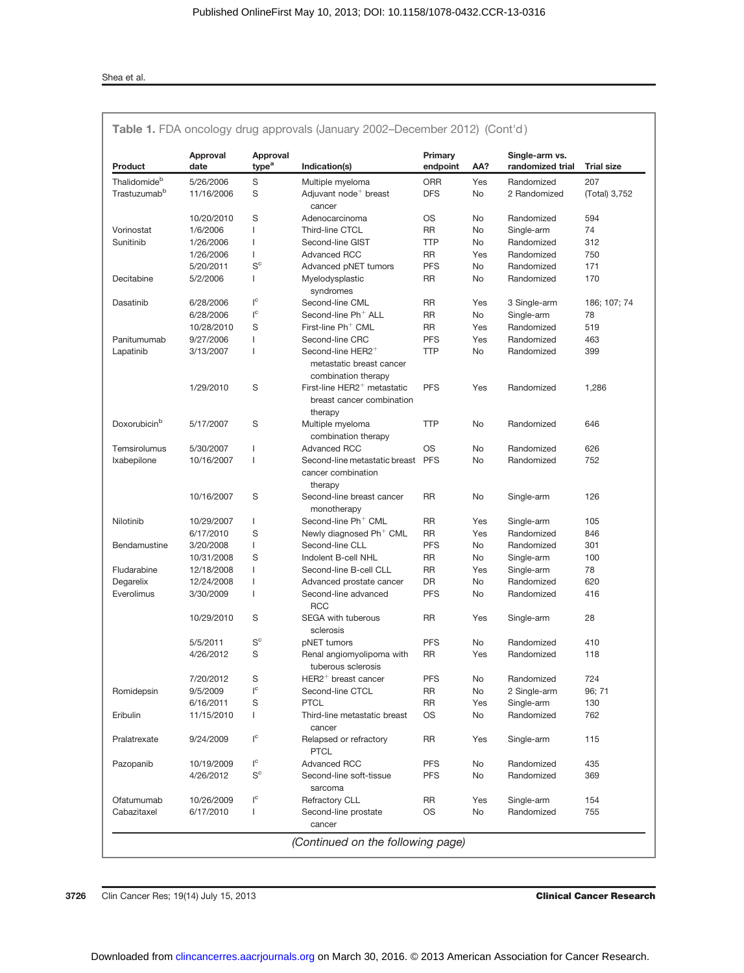## Shea et al.

| Product                  | Approval<br>date | Approval<br>type <sup>a</sup> | Indication(s)                                                                     | Primary<br>endpoint | AA?       | Single-arm vs.<br>randomized trial | <b>Trial size</b> |
|--------------------------|------------------|-------------------------------|-----------------------------------------------------------------------------------|---------------------|-----------|------------------------------------|-------------------|
| Thalidomide <sup>b</sup> | 5/26/2006        | S                             | Multiple myeloma                                                                  | <b>ORR</b>          | Yes       | Randomized                         | 207               |
| Trastuzumab <sup>b</sup> | 11/16/2006       | S                             | Adjuvant node <sup>+</sup> breast<br>cancer                                       | <b>DFS</b>          | No        | 2 Randomized                       | (Total) 3,752     |
|                          | 10/20/2010       | S                             | Adenocarcinoma                                                                    | <b>OS</b>           | No        | Randomized                         | 594               |
| Vorinostat               | 1/6/2006         | I                             | <b>Third-line CTCL</b>                                                            | <b>RR</b>           | No        | Single-arm                         | 74                |
| Sunitinib                | 1/26/2006        | I                             | Second-line GIST                                                                  | <b>TTP</b>          | No        | Randomized                         | 312               |
|                          | 1/26/2006        | L                             | Advanced RCC                                                                      | <b>RR</b>           | Yes       | Randomized                         | 750               |
|                          | 5/20/2011        | $\mathbf{S}^\mathrm{c}$       | Advanced pNET tumors                                                              | <b>PFS</b>          | No        | Randomized                         | 171               |
| Decitabine               | 5/2/2006         | L                             | Myelodysplastic<br>syndromes                                                      | <b>RR</b>           | <b>No</b> | Randomized                         | 170               |
| Dasatinib                | 6/28/2006        | $\mathsf{I}^\mathsf{c}$       | Second-line CML                                                                   | <b>RR</b>           | Yes       | 3 Single-arm                       | 186; 107; 74      |
|                          | 6/28/2006        | $\mathsf{I}^\mathsf{c}$       | Second-line Ph <sup>+</sup> ALL                                                   | <b>RR</b>           | No        | Single-arm                         | 78                |
|                          | 10/28/2010       | S                             | First-line $Ph^+$ CML                                                             | <b>RR</b>           | Yes       | Randomized                         | 519               |
| Panitumumab              | 9/27/2006        | $\mathbf{I}$                  | Second-line CRC                                                                   | <b>PFS</b>          | Yes       | Randomized                         | 463               |
| Lapatinib                | 3/13/2007        | $\mathbf{I}$                  | Second-line HER2 <sup>+</sup><br>metastatic breast cancer<br>combination therapy  | <b>TTP</b>          | <b>No</b> | Randomized                         | 399               |
|                          | 1/29/2010        | S                             | First-line $HER2$ <sup>+</sup> metastatic<br>breast cancer combination<br>therapy | <b>PFS</b>          | Yes       | Randomized                         | 1,286             |
| Doxorubicin <sup>b</sup> | 5/17/2007        | S                             | Multiple myeloma<br>combination therapy                                           | <b>TTP</b>          | No        | Randomized                         | 646               |
| Temsirolumus             | 5/30/2007        | T                             | <b>Advanced RCC</b>                                                               | OS                  | No        | Randomized                         | 626               |
| Ixabepilone              | 10/16/2007       | $\mathbf{I}$                  | Second-line metastatic breast<br>cancer combination<br>therapy                    | <b>PFS</b>          | No        | Randomized                         | 752               |
|                          | 10/16/2007       | S                             | Second-line breast cancer<br>monotherapy                                          | <b>RR</b>           | No        | Single-arm                         | 126               |
| Nilotinib                | 10/29/2007       | L                             | Second-line Ph <sup>+</sup> CML                                                   | <b>RR</b>           | Yes       | Single-arm                         | 105               |
|                          | 6/17/2010        | S                             | Newly diagnosed Ph <sup>+</sup> CML                                               | <b>RR</b>           | Yes       | Randomized                         | 846               |
| Bendamustine             | 3/20/2008        | L                             | Second-line CLL                                                                   | <b>PFS</b>          | No        | Randomized                         | 301               |
|                          | 10/31/2008       | S                             | Indolent B-cell NHL                                                               | <b>RR</b>           | No        | Single-arm                         | 100               |
| Fludarabine              | 12/18/2008       | I                             | Second-line B-cell CLL                                                            | <b>RR</b>           | Yes       | Single-arm                         | 78                |
| Degarelix                | 12/24/2008       | T                             | Advanced prostate cancer                                                          | DR                  | No        | Randomized                         | 620               |
| Everolimus               | 3/30/2009        | T                             | Second-line advanced<br><b>RCC</b>                                                | <b>PFS</b>          | No        | Randomized                         | 416               |
|                          | 10/29/2010       | S                             | SEGA with tuberous<br>sclerosis                                                   | <b>RR</b>           | Yes       | Single-arm                         | 28                |
|                          | 5/5/2011         | $\mathbb{S}^{\mathrm{c}}$     | pNET tumors                                                                       | <b>PFS</b>          | No        | Randomized                         | 410               |
|                          | 4/26/2012        | S                             | Renal angiomyolipoma with<br>tuberous sclerosis                                   | <b>RR</b>           | Yes       | Randomized                         | 118               |
|                          | 7/20/2012        | S                             | $HER2^+$ breast cancer                                                            | <b>PFS</b>          | No        | Randomized                         | 724               |
| Romidepsin               | 9/5/2009         | $\mathsf{I}^\mathsf{c}$       | Second-line CTCL                                                                  | <b>RR</b>           | No        | 2 Single-arm                       | 96; 71            |
|                          | 6/16/2011        | S                             | <b>PTCL</b>                                                                       | <b>RR</b>           | Yes       | Single-arm                         | 130               |
| Eribulin                 | 11/15/2010       | L                             | Third-line metastatic breast<br>cancer                                            | OS                  | No        | Randomized                         | 762               |
| Pralatrexate             | 9/24/2009        | $\mathsf{I}^\mathtt{C}$       | Relapsed or refractory<br><b>PTCL</b>                                             | <b>RR</b>           | Yes       | Single-arm                         | 115               |
| Pazopanib                | 10/19/2009       | $\mathsf{I}^{\mathsf{c}}$     | <b>Advanced RCC</b>                                                               | <b>PFS</b>          | No        | Randomized                         | 435               |
|                          | 4/26/2012        | $\mathbb{S}^{\mathrm{c}}$     | Second-line soft-tissue<br>sarcoma                                                | <b>PFS</b>          | No        | Randomized                         | 369               |
| Ofatumumab               | 10/26/2009       | $\mathsf{I}^\mathtt{c}$       | <b>Refractory CLL</b>                                                             | <b>RR</b>           | Yes       | Single-arm                         | 154               |
| Cabazitaxel              | 6/17/2010        | L                             | Second-line prostate<br>cancer                                                    | OS                  | No.       | Randomized                         | 755               |

3726 Clin Cancer Res; 19(14) July 15, 2013 **Clinical Cancer Research**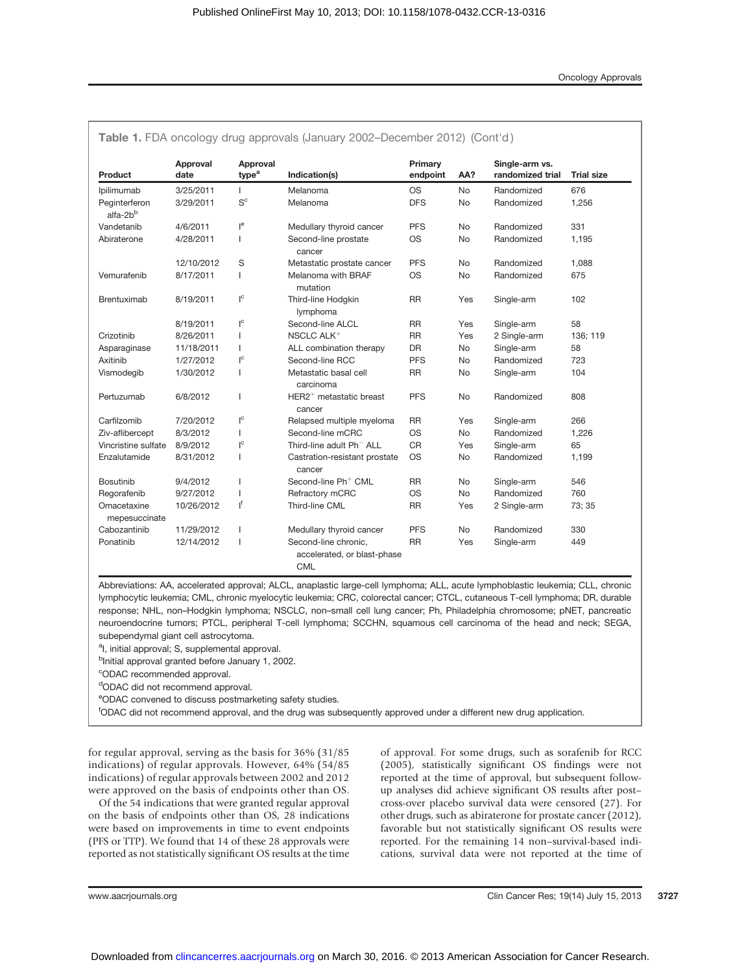| <b>Product</b>                        | Approval<br>date | Approval<br>type <sup>a</sup> | Indication(s)                                              | Primary<br>endpoint | AA?       | Single-arm vs.<br>randomized trial | <b>Trial size</b> |
|---------------------------------------|------------------|-------------------------------|------------------------------------------------------------|---------------------|-----------|------------------------------------|-------------------|
| Ipilimumab                            | 3/25/2011        | $\mathbf{I}$                  | Melanoma                                                   | <b>OS</b>           | <b>No</b> | Randomized                         | 676               |
| Peginterferon<br>alfa-2b <sup>b</sup> | 3/29/2011        | $S^c$                         | Melanoma                                                   | <b>DFS</b>          | <b>No</b> | Randomized                         | 1,256             |
| Vandetanib                            | 4/6/2011         | I <sub>e</sub>                | Medullary thyroid cancer                                   | <b>PFS</b>          | <b>No</b> | Randomized                         | 331               |
| Abiraterone                           | 4/28/2011        | $\mathsf{I}$                  | Second-line prostate<br>cancer                             | <b>OS</b>           | <b>No</b> | Randomized                         | 1,195             |
|                                       | 12/10/2012       | S                             | Metastatic prostate cancer                                 | <b>PFS</b>          | <b>No</b> | Randomized                         | 1,088             |
| Vemurafenib                           | 8/17/2011        | T                             | Melanoma with BRAF<br>mutation                             | <b>OS</b>           | <b>No</b> | Randomized                         | 675               |
| Brentuximab                           | 8/19/2011        | $\mathsf{I}^{\mathsf{c}}$     | Third-line Hodgkin<br>lymphoma                             | <b>RR</b>           | Yes       | Single-arm                         | 102               |
|                                       | 8/19/2011        | $\mathsf{I}^{\mathsf{c}}$     | Second-line ALCL                                           | <b>RR</b>           | Yes       | Single-arm                         | 58                |
| Crizotinib                            | 8/26/2011        | $\mathbf{I}$                  | NSCLC ALK <sup>+</sup>                                     | <b>RR</b>           | Yes       | 2 Single-arm                       | 136; 119          |
| Asparaginase                          | 11/18/2011       | $\mathbf{I}$                  | ALL combination therapy                                    | <b>DR</b>           | <b>No</b> | Single-arm                         | 58                |
| Axitinib                              | 1/27/2012        | $\mathsf{I}^{\mathsf{c}}$     | Second-line RCC                                            | <b>PFS</b>          | <b>No</b> | Randomized                         | 723               |
| Vismodegib                            | 1/30/2012        | $\mathbf{I}$                  | Metastatic basal cell<br>carcinoma                         | <b>RR</b>           | <b>No</b> | Single-arm                         | 104               |
| Pertuzumab                            | 6/8/2012         | $\overline{\phantom{a}}$      | HER2 <sup>+</sup> metastatic breast<br>cancer              | <b>PFS</b>          | <b>No</b> | Randomized                         | 808               |
| Carfilzomib                           | 7/20/2012        | $\mathsf{I}^{\mathsf{c}}$     | Relapsed multiple myeloma                                  | <b>RR</b>           | Yes       | Single-arm                         | 266               |
| Ziv-aflibercept                       | 8/3/2012         | $\mathbf{I}$                  | Second-line mCRC                                           | <b>OS</b>           | <b>No</b> | Randomized                         | 1,226             |
| Vincristine sulfate                   | 8/9/2012         | $\mathsf{I}^{\mathsf{c}}$     | Third-line adult Ph <sup>-</sup> ALL                       | <b>CR</b>           | Yes       | Single-arm                         | 65                |
| Enzalutamide                          | 8/31/2012        | $\mathsf{I}$                  | Castration-resistant prostate<br>cancer                    | <b>OS</b>           | <b>No</b> | Randomized                         | 1,199             |
| <b>Bosutinib</b>                      | 9/4/2012         |                               | Second-line Ph <sup>+</sup> CML                            | <b>RR</b>           | <b>No</b> | Single-arm                         | 546               |
| Regorafenib                           | 9/27/2012        | $\overline{\phantom{a}}$      | Refractory mCRC                                            | <b>OS</b>           | <b>No</b> | Randomized                         | 760               |
| Omacetaxine<br>mepesuccinate          | 10/26/2012       | $\mathsf{I}^{\mathsf{f}}$     | Third-line CML                                             | <b>RR</b>           | Yes       | 2 Single-arm                       | 73; 35            |
| Cabozantinib                          | 11/29/2012       | $\overline{\phantom{a}}$      | Medullary thyroid cancer                                   | <b>PFS</b>          | No.       | Randomized                         | 330               |
| Ponatinib                             | 12/14/2012       | $\overline{\phantom{a}}$      | Second-line chronic,<br>accelerated, or blast-phase<br>CML | <b>RR</b>           | Yes       | Single-arm                         | 449               |

Abbreviations: AA, accelerated approval; ALCL, anaplastic large-cell lymphoma; ALL, acute lymphoblastic leukemia; CLL, chronic lymphocytic leukemia; CML, chronic myelocytic leukemia; CRC, colorectal cancer; CTCL, cutaneous T-cell lymphoma; DR, durable response; NHL, non–Hodgkin lymphoma; NSCLC, non–small cell lung cancer; Ph, Philadelphia chromosome; pNET, pancreatic neuroendocrine tumors; PTCL, peripheral T-cell lymphoma; SCCHN, squamous cell carcinoma of the head and neck; SEGA, subependymal giant cell astrocytoma.

<sup>a</sup>l, initial approval; S, supplemental approval. <sup>b</sup>Initial approval granted before January 1, 2002.

<sup>c</sup>ODAC recommended approval.

<sup>d</sup>ODAC did not recommend approval.

eODAC convened to discuss postmarketing safety studies.

f ODAC did not recommend approval, and the drug was subsequently approved under a different new drug application.

for regular approval, serving as the basis for 36% (31/85 indications) of regular approvals. However, 64% (54/85 indications) of regular approvals between 2002 and 2012 were approved on the basis of endpoints other than OS.

Of the 54 indications that were granted regular approval on the basis of endpoints other than OS, 28 indications were based on improvements in time to event endpoints (PFS or TTP). We found that 14 of these 28 approvals were reported as not statistically significant OS results at the time of approval. For some drugs, such as sorafenib for RCC (2005), statistically significant OS findings were not reported at the time of approval, but subsequent followup analyses did achieve significant OS results after post– cross-over placebo survival data were censored (27). For other drugs, such as abiraterone for prostate cancer (2012), favorable but not statistically significant OS results were reported. For the remaining 14 non–survival-based indications, survival data were not reported at the time of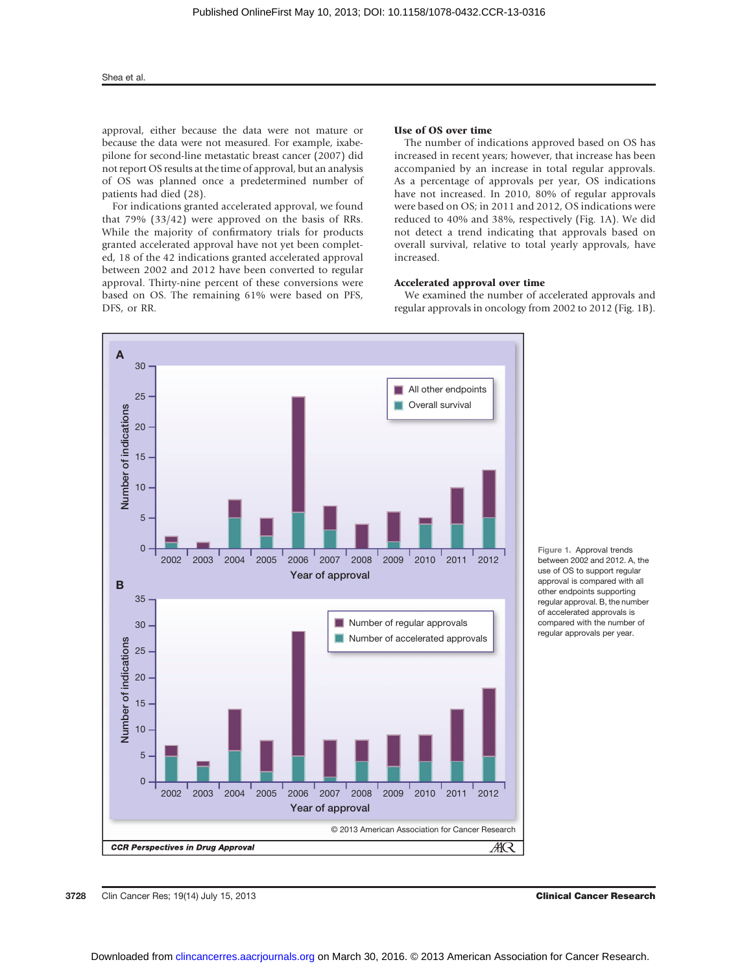approval, either because the data were not mature or because the data were not measured. For example, ixabepilone for second-line metastatic breast cancer (2007) did not report OS results at the time of approval, but an analysis of OS was planned once a predetermined number of patients had died (28).

For indications granted accelerated approval, we found that 79% (33/42) were approved on the basis of RRs. While the majority of confirmatory trials for products granted accelerated approval have not yet been completed, 18 of the 42 indications granted accelerated approval between 2002 and 2012 have been converted to regular approval. Thirty-nine percent of these conversions were based on OS. The remaining 61% were based on PFS, DFS, or RR.

## Use of OS over time

The number of indications approved based on OS has increased in recent years; however, that increase has been accompanied by an increase in total regular approvals. As a percentage of approvals per year, OS indications have not increased. In 2010, 80% of regular approvals were based on OS; in 2011 and 2012, OS indications were reduced to 40% and 38%, respectively (Fig. 1A). We did not detect a trend indicating that approvals based on overall survival, relative to total yearly approvals, have increased.

## Accelerated approval over time

We examined the number of accelerated approvals and regular approvals in oncology from 2002 to 2012 (Fig. 1B).



Figure 1. Approval trends between 2002 and 2012. A, the use of OS to support regular approval is compared with all other endpoints supporting regular approval. B, the number of accelerated approvals is compared with the number of regular approvals per year.

3728 Clin Cancer Res; 19(14) July 15, 2013 Clinical Cancer Research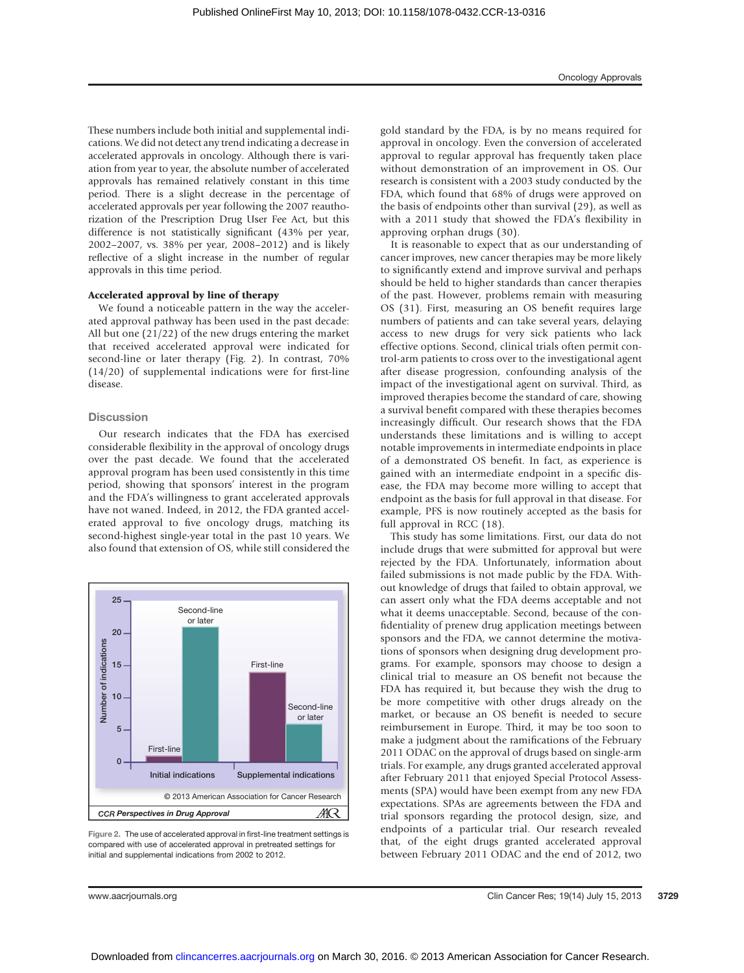These numbers include both initial and supplemental indications. We did not detect any trend indicating a decrease in accelerated approvals in oncology. Although there is variation from year to year, the absolute number of accelerated approvals has remained relatively constant in this time period. There is a slight decrease in the percentage of accelerated approvals per year following the 2007 reauthorization of the Prescription Drug User Fee Act, but this difference is not statistically significant (43% per year, 2002–2007, vs. 38% per year, 2008–2012) and is likely reflective of a slight increase in the number of regular approvals in this time period.

## Accelerated approval by line of therapy

We found a noticeable pattern in the way the accelerated approval pathway has been used in the past decade: All but one (21/22) of the new drugs entering the market that received accelerated approval were indicated for second-line or later therapy (Fig. 2). In contrast, 70% (14/20) of supplemental indications were for first-line disease.

## **Discussion**

Our research indicates that the FDA has exercised considerable flexibility in the approval of oncology drugs over the past decade. We found that the accelerated approval program has been used consistently in this time period, showing that sponsors' interest in the program and the FDA's willingness to grant accelerated approvals have not waned. Indeed, in 2012, the FDA granted accelerated approval to five oncology drugs, matching its second-highest single-year total in the past 10 years. We also found that extension of OS, while still considered the



Figure 2. The use of accelerated approval in first-line treatment settings is compared with use of accelerated approval in pretreated settings for initial and supplemental indications from 2002 to 2012.

gold standard by the FDA, is by no means required for approval in oncology. Even the conversion of accelerated approval to regular approval has frequently taken place without demonstration of an improvement in OS. Our research is consistent with a 2003 study conducted by the FDA, which found that 68% of drugs were approved on the basis of endpoints other than survival (29), as well as with a 2011 study that showed the FDA's flexibility in approving orphan drugs (30).

It is reasonable to expect that as our understanding of cancer improves, new cancer therapies may be more likely to significantly extend and improve survival and perhaps should be held to higher standards than cancer therapies of the past. However, problems remain with measuring OS (31). First, measuring an OS benefit requires large numbers of patients and can take several years, delaying access to new drugs for very sick patients who lack effective options. Second, clinical trials often permit control-arm patients to cross over to the investigational agent after disease progression, confounding analysis of the impact of the investigational agent on survival. Third, as improved therapies become the standard of care, showing a survival benefit compared with these therapies becomes increasingly difficult. Our research shows that the FDA understands these limitations and is willing to accept notable improvements in intermediate endpoints in place of a demonstrated OS benefit. In fact, as experience is gained with an intermediate endpoint in a specific disease, the FDA may become more willing to accept that endpoint as the basis for full approval in that disease. For example, PFS is now routinely accepted as the basis for full approval in RCC (18).

This study has some limitations. First, our data do not include drugs that were submitted for approval but were rejected by the FDA. Unfortunately, information about failed submissions is not made public by the FDA. Without knowledge of drugs that failed to obtain approval, we can assert only what the FDA deems acceptable and not what it deems unacceptable. Second, because of the confidentiality of prenew drug application meetings between sponsors and the FDA, we cannot determine the motivations of sponsors when designing drug development programs. For example, sponsors may choose to design a clinical trial to measure an OS benefit not because the FDA has required it, but because they wish the drug to be more competitive with other drugs already on the market, or because an OS benefit is needed to secure reimbursement in Europe. Third, it may be too soon to make a judgment about the ramifications of the February 2011 ODAC on the approval of drugs based on single-arm trials. For example, any drugs granted accelerated approval after February 2011 that enjoyed Special Protocol Assessments (SPA) would have been exempt from any new FDA expectations. SPAs are agreements between the FDA and trial sponsors regarding the protocol design, size, and endpoints of a particular trial. Our research revealed that, of the eight drugs granted accelerated approval between February 2011 ODAC and the end of 2012, two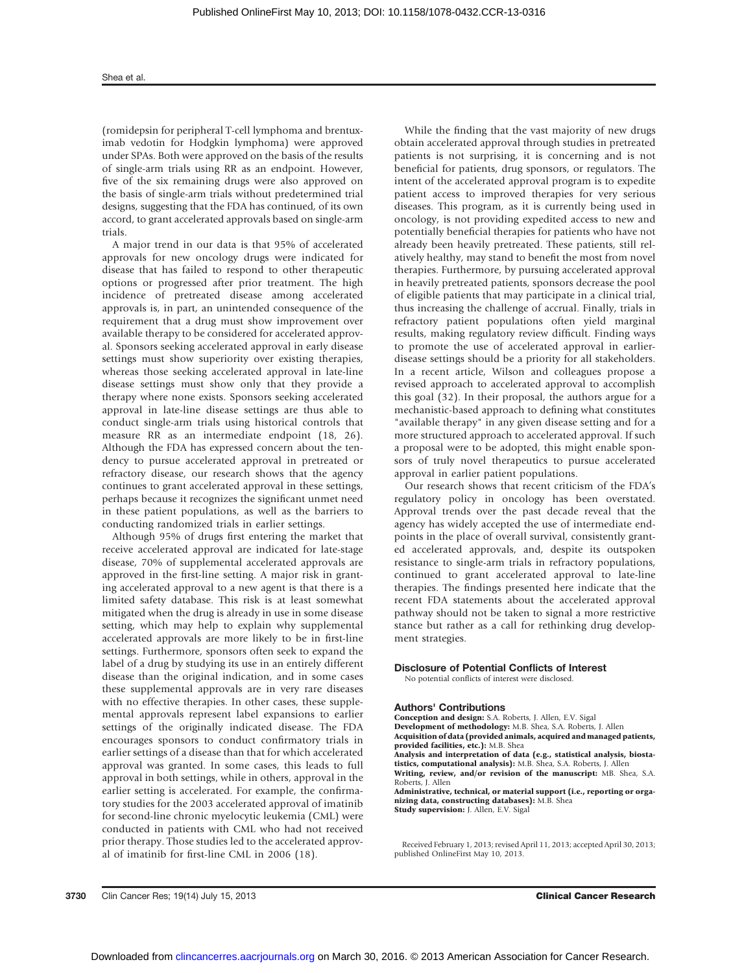(romidepsin for peripheral T-cell lymphoma and brentuximab vedotin for Hodgkin lymphoma) were approved under SPAs. Both were approved on the basis of the results of single-arm trials using RR as an endpoint. However, five of the six remaining drugs were also approved on the basis of single-arm trials without predetermined trial designs, suggesting that the FDA has continued, of its own accord, to grant accelerated approvals based on single-arm trials.

A major trend in our data is that 95% of accelerated approvals for new oncology drugs were indicated for disease that has failed to respond to other therapeutic options or progressed after prior treatment. The high incidence of pretreated disease among accelerated approvals is, in part, an unintended consequence of the requirement that a drug must show improvement over available therapy to be considered for accelerated approval. Sponsors seeking accelerated approval in early disease settings must show superiority over existing therapies, whereas those seeking accelerated approval in late-line disease settings must show only that they provide a therapy where none exists. Sponsors seeking accelerated approval in late-line disease settings are thus able to conduct single-arm trials using historical controls that measure RR as an intermediate endpoint (18, 26). Although the FDA has expressed concern about the tendency to pursue accelerated approval in pretreated or refractory disease, our research shows that the agency continues to grant accelerated approval in these settings, perhaps because it recognizes the significant unmet need in these patient populations, as well as the barriers to conducting randomized trials in earlier settings.

Although 95% of drugs first entering the market that receive accelerated approval are indicated for late-stage disease, 70% of supplemental accelerated approvals are approved in the first-line setting. A major risk in granting accelerated approval to a new agent is that there is a limited safety database. This risk is at least somewhat mitigated when the drug is already in use in some disease setting, which may help to explain why supplemental accelerated approvals are more likely to be in first-line settings. Furthermore, sponsors often seek to expand the label of a drug by studying its use in an entirely different disease than the original indication, and in some cases these supplemental approvals are in very rare diseases with no effective therapies. In other cases, these supplemental approvals represent label expansions to earlier settings of the originally indicated disease. The FDA encourages sponsors to conduct confirmatory trials in earlier settings of a disease than that for which accelerated approval was granted. In some cases, this leads to full approval in both settings, while in others, approval in the earlier setting is accelerated. For example, the confirmatory studies for the 2003 accelerated approval of imatinib for second-line chronic myelocytic leukemia (CML) were conducted in patients with CML who had not received prior therapy. Those studies led to the accelerated approval of imatinib for first-line CML in 2006 (18).

While the finding that the vast majority of new drugs obtain accelerated approval through studies in pretreated patients is not surprising, it is concerning and is not beneficial for patients, drug sponsors, or regulators. The intent of the accelerated approval program is to expedite patient access to improved therapies for very serious diseases. This program, as it is currently being used in oncology, is not providing expedited access to new and potentially beneficial therapies for patients who have not already been heavily pretreated. These patients, still relatively healthy, may stand to benefit the most from novel therapies. Furthermore, by pursuing accelerated approval in heavily pretreated patients, sponsors decrease the pool of eligible patients that may participate in a clinical trial, thus increasing the challenge of accrual. Finally, trials in refractory patient populations often yield marginal results, making regulatory review difficult. Finding ways to promote the use of accelerated approval in earlierdisease settings should be a priority for all stakeholders. In a recent article, Wilson and colleagues propose a revised approach to accelerated approval to accomplish this goal (32). In their proposal, the authors argue for a mechanistic-based approach to defining what constitutes "available therapy" in any given disease setting and for a more structured approach to accelerated approval. If such a proposal were to be adopted, this might enable sponsors of truly novel therapeutics to pursue accelerated approval in earlier patient populations.

Our research shows that recent criticism of the FDA's regulatory policy in oncology has been overstated. Approval trends over the past decade reveal that the agency has widely accepted the use of intermediate endpoints in the place of overall survival, consistently granted accelerated approvals, and, despite its outspoken resistance to single-arm trials in refractory populations, continued to grant accelerated approval to late-line therapies. The findings presented here indicate that the recent FDA statements about the accelerated approval pathway should not be taken to signal a more restrictive stance but rather as a call for rethinking drug development strategies.

## Disclosure of Potential Conflicts of Interest

No potential conflicts of interest were disclosed.

#### Authors' Contributions

Conception and design: S.A. Roberts, J. Allen, E.V. Sigal Development of methodology: M.B. Shea, S.A. Roberts, J. Allen Acquisition of data (provided animals, acquired and managed patients, provided facilities, etc.): M.B. Shea Analysis and interpretation of data (e.g., statistical analysis, biosta-tistics, computational analysis): M.B. Shea, S.A. Roberts, J. Allen Writing, review, and/or revision of the manuscript: MB. Shea, S.A. Roberts, J. Allen Administrative, technical, or material support (i.e., reporting or organizing data, constructing databases): M.B. Shea Study supervision: J. Allen, E.V. Sigal

Received February 1, 2013; revised April 11, 2013; accepted April 30, 2013; published OnlineFirst May 10, 2013.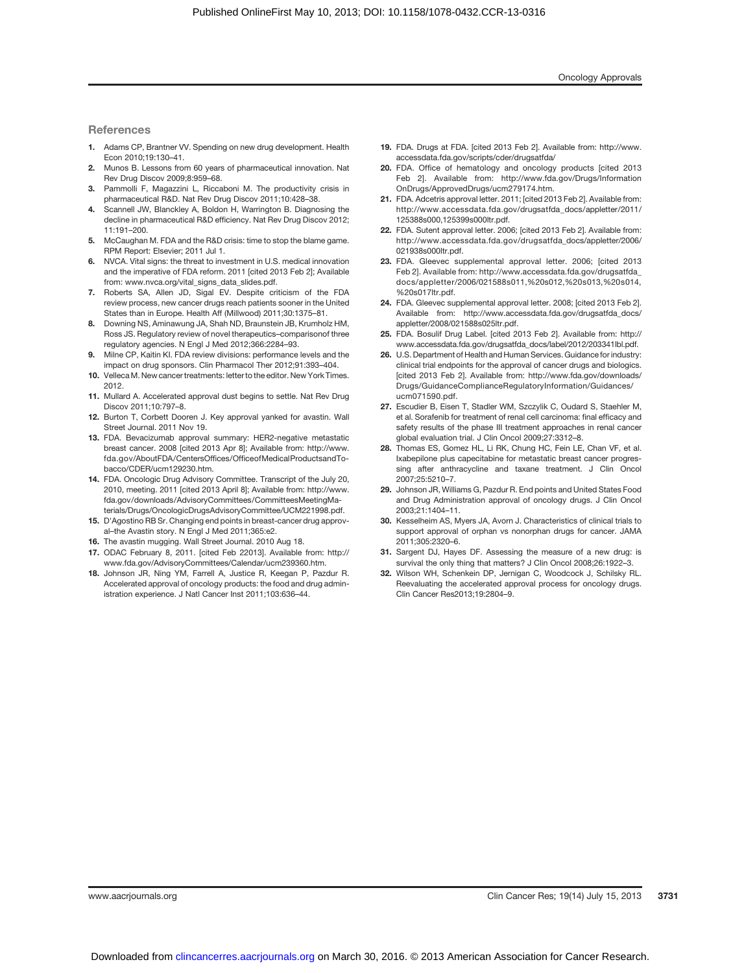## **References**

- 1. Adams CP, Brantner VV. Spending on new drug development. Health Econ 2010;19:130–41.
- 2. Munos B. Lessons from 60 years of pharmaceutical innovation. Nat Rev Drug Discov 2009;8:959–68.
- 3. Pammolli F, Magazzini L, Riccaboni M, The productivity crisis in pharmaceutical R&D. Nat Rev Drug Discov 2011;10:428–38.
- 4. Scannell JW, Blanckley A, Boldon H, Warrington B. Diagnosing the decline in pharmaceutical R&D efficiency. Nat Rev Drug Discov 2012; 11:191–200.
- McCaughan M. FDA and the R&D crisis: time to stop the blame game. RPM Report: Elsevier; 2011 Jul 1.
- 6. NVCA. Vital signs: the threat to investment in U.S. medical innovation and the imperative of FDA reform. 2011 [cited 2013 Feb 2]; Available from: www.nvca.org/vital\_signs\_data\_slides.pdf.
- 7. Roberts SA, Allen JD, Sigal EV. Despite criticism of the FDA review process, new cancer drugs reach patients sooner in the United States than in Europe. Health Aff (Millwood) 2011;30:1375–81.
- 8. Downing NS, Aminawung JA, Shah ND, Braunstein JB, Krumholz HM, Ross JS. Regulatory review of novel therapeutics–comparisonof three regulatory agencies. N Engl J Med 2012;366:2284–93.
- 9. Milne CP, Kaitin KI. FDA review divisions: performance levels and the impact on drug sponsors. Clin Pharmacol Ther 2012;91:393–404.
- 10. Velleca M. New cancer treatments: letter to the editor. New York Times. 2012.
- 11. Mullard A. Accelerated approval dust begins to settle. Nat Rev Drug Discov 2011;10:797–8.
- 12. Burton T, Corbett Dooren J. Key approval yanked for avastin. Wall Street Journal. 2011 Nov 19.
- 13. FDA. Bevacizumab approval summary: HER2-negative metastatic breast cancer. 2008 [cited 2013 Apr 8]; Available from: http://www. fda.gov/AboutFDA/CentersOffices/OfficeofMedicalProductsandTobacco/CDER/ucm129230.htm.
- 14. FDA. Oncologic Drug Advisory Committee. Transcript of the July 20, 2010, meeting. 2011 [cited 2013 April 8]; Available from: http://www. fda.gov/downloads/AdvisoryCommittees/CommitteesMeetingMaterials/Drugs/OncologicDrugsAdvisoryCommittee/UCM221998.pdf.
- 15. D'Agostino RB Sr. Changing end points in breast-cancer drug approval–the Avastin story. N Engl J Med 2011;365:e2.
- 16. The avastin mugging. Wall Street Journal. 2010 Aug 18.
- 17. ODAC February 8, 2011. [cited Feb 22013]. Available from: http:// www.fda.gov/AdvisoryCommittees/Calendar/ucm239360.htm.
- 18. Johnson JR, Ning YM, Farrell A, Justice R, Keegan P, Pazdur R. Accelerated approval of oncology products: the food and drug administration experience. J Natl Cancer Inst 2011;103:636–44.
- 19. FDA. Drugs at FDA. [cited 2013 Feb 2]. Available from: http://www. accessdata.fda.gov/scripts/cder/drugsatfda/
- 20. FDA. Office of hematology and oncology products [cited 2013 Feb 2]. Available from: http://www.fda.gov/Drugs/Information OnDrugs/ApprovedDrugs/ucm279174.htm.
- 21. FDA. Adcetris approval letter. 2011; [cited 2013 Feb 2]. Available from: http://www.accessdata.fda.gov/drugsatfda\_docs/appletter/2011/ 125388s000,125399s000ltr.pdf.
- 22. FDA. Sutent approval letter. 2006; [cited 2013 Feb 2]. Available from: http://www.accessdata.fda.gov/drugsatfda\_docs/appletter/2006/ 021938s000ltr.pdf.
- 23. FDA. Gleevec supplemental approval letter. 2006; [cited 2013 Feb 2]. Available from: http://www.accessdata.fda.gov/drugsatfda\_ docs/appletter/2006/021588s011,%20s012,%20s013,%20s014, %20s017ltr.pdf.
- 24. FDA. Gleevec supplemental approval letter. 2008; [cited 2013 Feb 2]. Available from: http://www.accessdata.fda.gov/drugsatfda\_docs/ appletter/2008/021588s025ltr.pdf.
- 25. FDA. Bosulif Drug Label. [cited 2013 Feb 2]. Available from: http:// www.accessdata.fda.gov/drugsatfda\_docs/label/2012/203341lbl.pdf.
- 26. U.S. Department of Health and Human Services. Guidance for industry: clinical trial endpoints for the approval of cancer drugs and biologics. [cited 2013 Feb 2]. Available from: http://www.fda.gov/downloads/ Drugs/GuidanceComplianceRegulatoryInformation/Guidances/ ucm071590.pdf.
- 27. Escudier B, Eisen T, Stadler WM, Szczylik C, Oudard S, Staehler M, et al. Sorafenib for treatment of renal cell carcinoma: final efficacy and safety results of the phase III treatment approaches in renal cancer global evaluation trial. J Clin Oncol 2009;27:3312–8.
- 28. Thomas ES, Gomez HL, Li RK, Chung HC, Fein LE, Chan VF, et al. Ixabepilone plus capecitabine for metastatic breast cancer progressing after anthracycline and taxane treatment. J Clin Oncol 2007;25:5210–7.
- 29. Johnson JR, Williams G, Pazdur R. End points and United States Food and Drug Administration approval of oncology drugs. J Clin Oncol 2003;21:1404–11.
- 30. Kesselheim AS, Myers JA, Avorn J. Characteristics of clinical trials to support approval of orphan vs nonorphan drugs for cancer. JAMA 2011;305:2320–6.
- 31. Sargent DJ, Hayes DF. Assessing the measure of a new drug: is survival the only thing that matters? J Clin Oncol 2008;26:1922–3.
- 32. Wilson WH, Schenkein DP, Jernigan C, Woodcock J, Schilsky RL. Reevaluating the accelerated approval process for oncology drugs. Clin Cancer Res2013;19:2804–9.